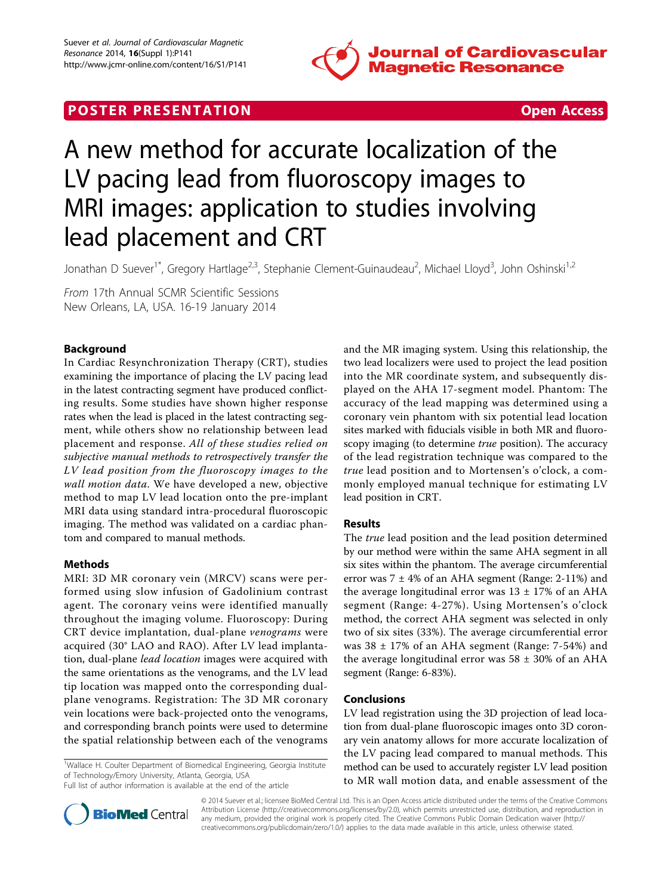

# **POSTER PRESENTATION CONSUMING THE SECOND CONSUMING THE SECOND CONSUMING THE SECOND CONSUMING THE SECOND CONSUMING THE SECOND CONSUMING THE SECOND CONSUMING THE SECOND CONSUMING THE SECOND CONSUMING THE SECOND CONSUMING**



# A new method for accurate localization of the LV pacing lead from fluoroscopy images to MRI images: application to studies involving lead placement and CRT

Jonathan D Suever<sup>1\*</sup>, Gregory Hartlage<sup>2,3</sup>, Stephanie Clement-Guinaudeau<sup>2</sup>, Michael Lloyd<sup>3</sup>, John Oshinski<sup>1,2</sup>

From 17th Annual SCMR Scientific Sessions New Orleans, LA, USA. 16-19 January 2014

# Background

In Cardiac Resynchronization Therapy (CRT), studies examining the importance of placing the LV pacing lead in the latest contracting segment have produced conflicting results. Some studies have shown higher response rates when the lead is placed in the latest contracting segment, while others show no relationship between lead placement and response. All of these studies relied on subjective manual methods to retrospectively transfer the LV lead position from the fluoroscopy images to the wall motion data. We have developed a new, objective method to map LV lead location onto the pre-implant MRI data using standard intra-procedural fluoroscopic imaging. The method was validated on a cardiac phantom and compared to manual methods.

### Methods

MRI: 3D MR coronary vein (MRCV) scans were performed using slow infusion of Gadolinium contrast agent. The coronary veins were identified manually throughout the imaging volume. Fluoroscopy: During CRT device implantation, dual-plane venograms were acquired (30° LAO and RAO). After LV lead implantation, dual-plane lead location images were acquired with the same orientations as the venograms, and the LV lead tip location was mapped onto the corresponding dualplane venograms. Registration: The 3D MR coronary vein locations were back-projected onto the venograms, and corresponding branch points were used to determine the spatial relationship between each of the venograms

<sup>1</sup>Wallace H. Coulter Department of Biomedical Engineering, Georgia Institute of Technology/Emory University, Atlanta, Georgia, USA

and the MR imaging system. Using this relationship, the two lead localizers were used to project the lead position into the MR coordinate system, and subsequently displayed on the AHA 17-segment model. Phantom: The accuracy of the lead mapping was determined using a coronary vein phantom with six potential lead location sites marked with fiducials visible in both MR and fluoroscopy imaging (to determine true position). The accuracy of the lead registration technique was compared to the true lead position and to Mortensen's o'clock, a commonly employed manual technique for estimating LV lead position in CRT.

#### Results

The true lead position and the lead position determined by our method were within the same AHA segment in all six sites within the phantom. The average circumferential error was  $7 \pm 4\%$  of an AHA segment (Range: 2-11%) and the average longitudinal error was  $13 \pm 17\%$  of an AHA segment (Range: 4-27%). Using Mortensen's o'clock method, the correct AHA segment was selected in only two of six sites (33%). The average circumferential error was  $38 \pm 17\%$  of an AHA segment (Range: 7-54%) and the average longitudinal error was  $58 \pm 30\%$  of an AHA segment (Range: 6-83%).

#### Conclusions

LV lead registration using the 3D projection of lead location from dual-plane fluoroscopic images onto 3D coronary vein anatomy allows for more accurate localization of the LV pacing lead compared to manual methods. This method can be used to accurately register LV lead position to MR wall motion data, and enable assessment of the



© 2014 Suever et al.; licensee BioMed Central Ltd. This is an Open Access article distributed under the terms of the Creative Commons Attribution License [\(http://creativecommons.org/licenses/by/2.0](http://creativecommons.org/licenses/by/2.0)), which permits unrestricted use, distribution, and reproduction in any medium, provided the original work is properly cited. The Creative Commons Public Domain Dedication waiver [\(http://](http://creativecommons.org/publicdomain/zero/1.0/) [creativecommons.org/publicdomain/zero/1.0/](http://creativecommons.org/publicdomain/zero/1.0/)) applies to the data made available in this article, unless otherwise stated.

Full list of author information is available at the end of the article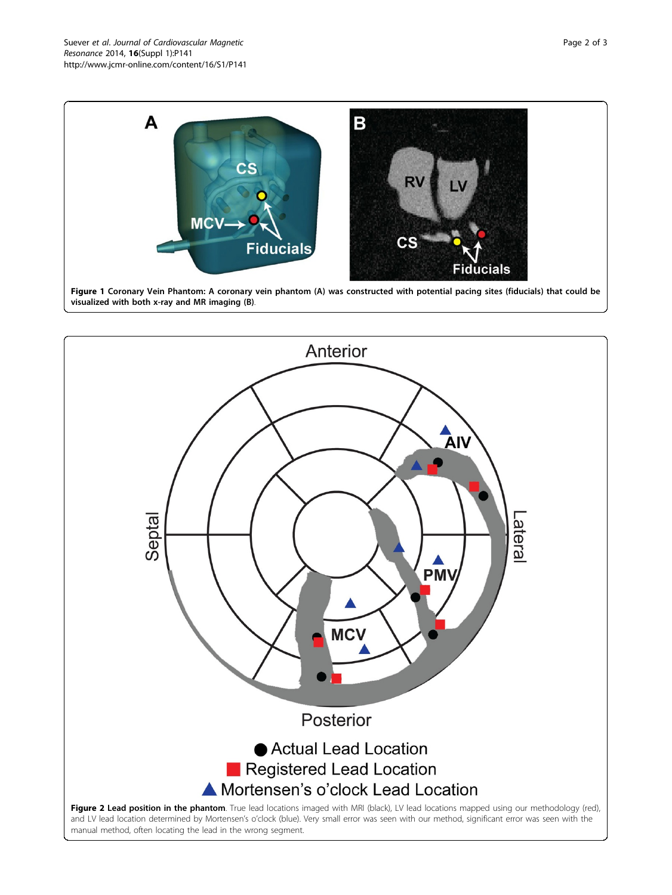